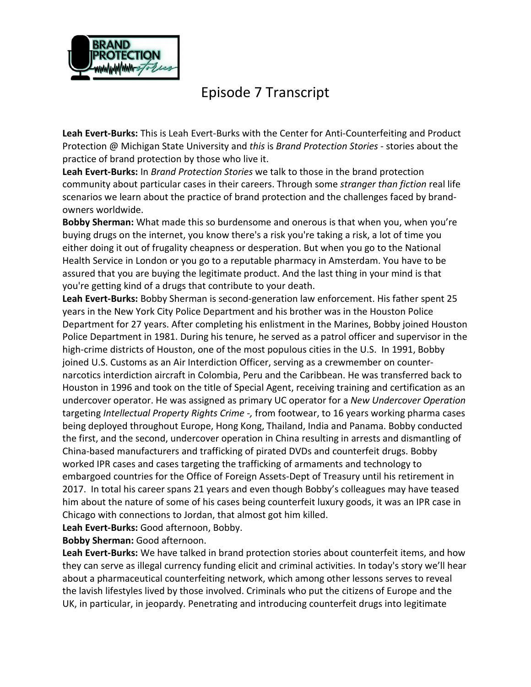

## Episode 7 Transcript

**Leah Evert-Burks:** This is Leah Evert-Burks with the Center for Anti-Counterfeiting and Product Protection @ Michigan State University and *this* is *Brand Protection Stories* - stories about the practice of brand protection by those who live it.

**Leah Evert-Burks:** In *Brand Protection Stories* we talk to those in the brand protection community about particular cases in their careers. Through some *stranger than fiction* real life scenarios we learn about the practice of brand protection and the challenges faced by brandowners worldwide.

**Bobby Sherman:** What made this so burdensome and onerous is that when you, when you're buying drugs on the internet, you know there's a risk you're taking a risk, a lot of time you either doing it out of frugality cheapness or desperation. But when you go to the National Health Service in London or you go to a reputable pharmacy in Amsterdam. You have to be assured that you are buying the legitimate product. And the last thing in your mind is that you're getting kind of a drugs that contribute to your death.

**Leah Evert-Burks:** Bobby Sherman is second-generation law enforcement. His father spent 25 years in the New York City Police Department and his brother was in the Houston Police Department for 27 years. After completing his enlistment in the Marines, Bobby joined Houston Police Department in 1981. During his tenure, he served as a patrol officer and supervisor in the high-crime districts of Houston, one of the most populous cities in the U.S. In 1991, Bobby joined U.S. Customs as an Air Interdiction Officer, serving as a crewmember on counternarcotics interdiction aircraft in Colombia, Peru and the Caribbean. He was transferred back to Houston in 1996 and took on the title of Special Agent, receiving training and certification as an undercover operator. He was assigned as primary UC operator for a *New Undercover Operation* targeting *Intellectual Property Rights Crime -,* from footwear, to 16 years working pharma cases being deployed throughout Europe, Hong Kong, Thailand, India and Panama. Bobby conducted the first, and the second, undercover operation in China resulting in arrests and dismantling of China-based manufacturers and trafficking of pirated DVDs and counterfeit drugs. Bobby worked IPR cases and cases targeting the trafficking of armaments and technology to embargoed countries for the Office of Foreign Assets-Dept of Treasury until his retirement in 2017. In total his career spans 21 years and even though Bobby's colleagues may have teased him about the nature of some of his cases being counterfeit luxury goods, it was an IPR case in Chicago with connections to Jordan, that almost got him killed.

**Leah Evert-Burks:** Good afternoon, Bobby.

**Bobby Sherman:** Good afternoon.

**Leah Evert-Burks:** We have talked in brand protection stories about counterfeit items, and how they can serve as illegal currency funding elicit and criminal activities. In today's story we'll hear about a pharmaceutical counterfeiting network, which among other lessons serves to reveal the lavish lifestyles lived by those involved. Criminals who put the citizens of Europe and the UK, in particular, in jeopardy. Penetrating and introducing counterfeit drugs into legitimate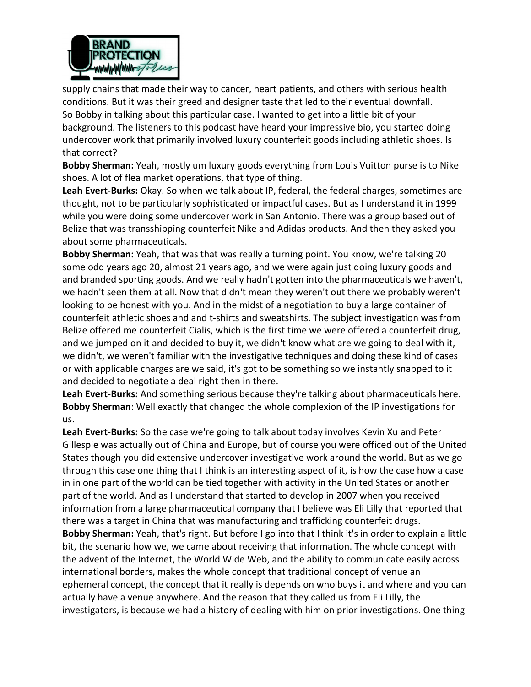

supply chains that made their way to cancer, heart patients, and others with serious health conditions. But it was their greed and designer taste that led to their eventual downfall. So Bobby in talking about this particular case. I wanted to get into a little bit of your background. The listeners to this podcast have heard your impressive bio, you started doing undercover work that primarily involved luxury counterfeit goods including athletic shoes. Is that correct?

**Bobby Sherman:** Yeah, mostly um luxury goods everything from Louis Vuitton purse is to Nike shoes. A lot of flea market operations, that type of thing.

**Leah Evert-Burks:** Okay. So when we talk about IP, federal, the federal charges, sometimes are thought, not to be particularly sophisticated or impactful cases. But as I understand it in 1999 while you were doing some undercover work in San Antonio. There was a group based out of Belize that was transshipping counterfeit Nike and Adidas products. And then they asked you about some pharmaceuticals.

**Bobby Sherman:** Yeah, that was that was really a turning point. You know, we're talking 20 some odd years ago 20, almost 21 years ago, and we were again just doing luxury goods and and branded sporting goods. And we really hadn't gotten into the pharmaceuticals we haven't, we hadn't seen them at all. Now that didn't mean they weren't out there we probably weren't looking to be honest with you. And in the midst of a negotiation to buy a large container of counterfeit athletic shoes and and t-shirts and sweatshirts. The subject investigation was from Belize offered me counterfeit Cialis, which is the first time we were offered a counterfeit drug, and we jumped on it and decided to buy it, we didn't know what are we going to deal with it, we didn't, we weren't familiar with the investigative techniques and doing these kind of cases or with applicable charges are we said, it's got to be something so we instantly snapped to it and decided to negotiate a deal right then in there.

**Leah Evert-Burks:** And something serious because they're talking about pharmaceuticals here. **Bobby Sherman**: Well exactly that changed the whole complexion of the IP investigations for us.

**Leah Evert-Burks:** So the case we're going to talk about today involves Kevin Xu and Peter Gillespie was actually out of China and Europe, but of course you were officed out of the United States though you did extensive undercover investigative work around the world. But as we go through this case one thing that I think is an interesting aspect of it, is how the case how a case in in one part of the world can be tied together with activity in the United States or another part of the world. And as I understand that started to develop in 2007 when you received information from a large pharmaceutical company that I believe was Eli Lilly that reported that there was a target in China that was manufacturing and trafficking counterfeit drugs. **Bobby Sherman:** Yeah, that's right. But before I go into that I think it's in order to explain a little bit, the scenario how we, we came about receiving that information. The whole concept with the advent of the Internet, the World Wide Web, and the ability to communicate easily across international borders, makes the whole concept that traditional concept of venue an ephemeral concept, the concept that it really is depends on who buys it and where and you can actually have a venue anywhere. And the reason that they called us from Eli Lilly, the investigators, is because we had a history of dealing with him on prior investigations. One thing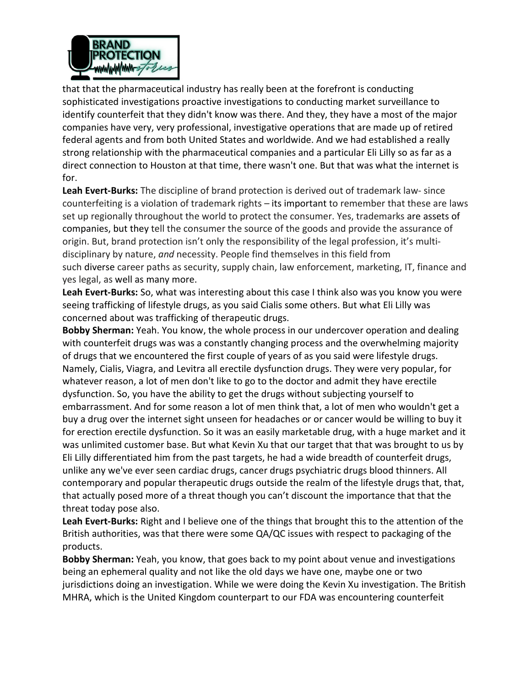

that that the pharmaceutical industry has really been at the forefront is conducting sophisticated investigations proactive investigations to conducting market surveillance to identify counterfeit that they didn't know was there. And they, they have a most of the major companies have very, very professional, investigative operations that are made up of retired federal agents and from both United States and worldwide. And we had established a really strong relationship with the pharmaceutical companies and a particular Eli Lilly so as far as a direct connection to Houston at that time, there wasn't one. But that was what the internet is for.

**Leah Evert-Burks:** The discipline of brand protection is derived out of trademark law- since counterfeiting is a violation of trademark rights – its important to remember that these are laws set up regionally throughout the world to protect the consumer. Yes, trademarks are assets of companies, but they tell the consumer the source of the goods and provide the assurance of origin. But, brand protection isn't only the responsibility of the legal profession, it's multidisciplinary by nature, *and* necessity. People find themselves in this field from such diverse career paths as security, supply chain, law enforcement, marketing, IT, finance and yes legal, as well as many more.

**Leah Evert-Burks:** So, what was interesting about this case I think also was you know you were seeing trafficking of lifestyle drugs, as you said Cialis some others. But what Eli Lilly was concerned about was trafficking of therapeutic drugs.

**Bobby Sherman:** Yeah. You know, the whole process in our undercover operation and dealing with counterfeit drugs was was a constantly changing process and the overwhelming majority of drugs that we encountered the first couple of years of as you said were lifestyle drugs. Namely, Cialis, Viagra, and Levitra all erectile dysfunction drugs. They were very popular, for whatever reason, a lot of men don't like to go to the doctor and admit they have erectile dysfunction. So, you have the ability to get the drugs without subjecting yourself to embarrassment. And for some reason a lot of men think that, a lot of men who wouldn't get a buy a drug over the internet sight unseen for headaches or or cancer would be willing to buy it for erection erectile dysfunction. So it was an easily marketable drug, with a huge market and it was unlimited customer base. But what Kevin Xu that our target that that was brought to us by Eli Lilly differentiated him from the past targets, he had a wide breadth of counterfeit drugs, unlike any we've ever seen cardiac drugs, cancer drugs psychiatric drugs blood thinners. All contemporary and popular therapeutic drugs outside the realm of the lifestyle drugs that, that, that actually posed more of a threat though you can't discount the importance that that the threat today pose also.

**Leah Evert-Burks:** Right and I believe one of the things that brought this to the attention of the British authorities, was that there were some QA/QC issues with respect to packaging of the products.

**Bobby Sherman:** Yeah, you know, that goes back to my point about venue and investigations being an ephemeral quality and not like the old days we have one, maybe one or two jurisdictions doing an investigation. While we were doing the Kevin Xu investigation. The British MHRA, which is the United Kingdom counterpart to our FDA was encountering counterfeit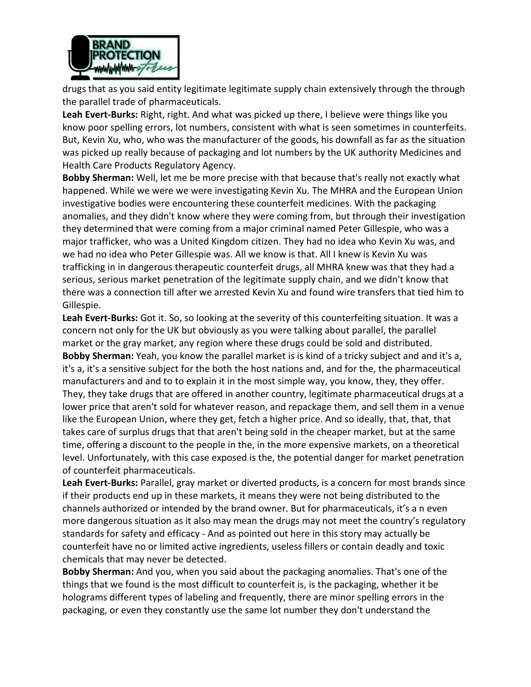

drugs that as you said entity legitimate legitimate supply chain extensively through the through the parallel trade of pharmaceuticals.

**Leah Evert-Burks:** Right, right. And what was picked up there, I believe were things like you know poor spelling errors, lot numbers, consistent with what is seen sometimes in counterfeits. But, Kevin Xu, who, who was the manufacturer of the goods, his downfall as far as the situation was picked up really because of packaging and lot numbers by the UK authority Medicines and Health Care Products Regulatory Agency.

**Bobby Sherman:** Well, let me be more precise with that because that's really not exactly what happened. While we were we were investigating Kevin Xu. The MHRA and the European Union investigative bodies were encountering these counterfeit medicines. With the packaging anomalies, and they didn't know where they were coming from, but through their investigation they determined that were coming from a major criminal named Peter Gillespie, who was a major trafficker, who was a United Kingdom citizen. They had no idea who Kevin Xu was, and we had no idea who Peter Gillespie was. All we know is that. All I knew is Kevin Xu was trafficking in in dangerous therapeutic counterfeit drugs, all MHRA knew was that they had a serious, serious market penetration of the legitimate supply chain, and we didn't know that there was a connection till after we arrested Kevin Xu and found wire transfers that tied him to Gillespie.

**Leah Evert-Burks:** Got it. So, so looking at the severity of this counterfeiting situation. It was a concern not only for the UK but obviously as you were talking about parallel, the parallel market or the gray market, any region where these drugs could be sold and distributed. **Bobby Sherman:** Yeah, you know the parallel market is is kind of a tricky subject and and it's a, it's a, it's a sensitive subject for the both the host nations and, and for the, the pharmaceutical manufacturers and and to to explain it in the most simple way, you know, they, they offer. They, they take drugs that are offered in another country, legitimate pharmaceutical drugs at a lower price that aren't sold for whatever reason, and repackage them, and sell them in a venue like the European Union, where they get, fetch a higher price. And so ideally, that, that, that takes care of surplus drugs that that aren't being sold in the cheaper market, but at the same time, offering a discount to the people in the, in the more expensive markets, on a theoretical level. Unfortunately, with this case exposed is the, the potential danger for market penetration of counterfeit pharmaceuticals.

**Leah Evert-Burks:** Parallel, gray market or diverted products, is a concern for most brands since if their products end up in these markets, it means they were not being distributed to the channels authorized or intended by the brand owner. But for pharmaceuticals, it's a n even more dangerous situation as it also may mean the drugs may not meet the country's regulatory standards for safety and efficacy - And as pointed out here in this story may actually be counterfeit have no or limited active ingredients, useless fillers or contain deadly and toxic chemicals that may never be detected.

**Bobby Sherman:** And you, when you said about the packaging anomalies. That's one of the things that we found is the most difficult to counterfeit is, is the packaging, whether it be holograms different types of labeling and frequently, there are minor spelling errors in the packaging, or even they constantly use the same lot number they don't understand the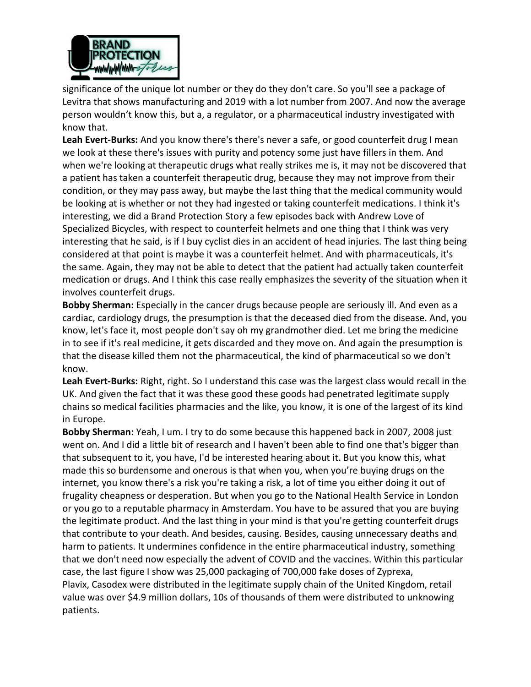

significance of the unique lot number or they do they don't care. So you'll see a package of Levitra that shows manufacturing and 2019 with a lot number from 2007. And now the average person wouldn't know this, but a, a regulator, or a pharmaceutical industry investigated with know that.

**Leah Evert-Burks:** And you know there's there's never a safe, or good counterfeit drug I mean we look at these there's issues with purity and potency some just have fillers in them. And when we're looking at therapeutic drugs what really strikes me is, it may not be discovered that a patient has taken a counterfeit therapeutic drug, because they may not improve from their condition, or they may pass away, but maybe the last thing that the medical community would be looking at is whether or not they had ingested or taking counterfeit medications. I think it's interesting, we did a Brand Protection Story a few episodes back with Andrew Love of Specialized Bicycles, with respect to counterfeit helmets and one thing that I think was very interesting that he said, is if I buy cyclist dies in an accident of head injuries. The last thing being considered at that point is maybe it was a counterfeit helmet. And with pharmaceuticals, it's the same. Again, they may not be able to detect that the patient had actually taken counterfeit medication or drugs. And I think this case really emphasizes the severity of the situation when it involves counterfeit drugs.

**Bobby Sherman:** Especially in the cancer drugs because people are seriously ill. And even as a cardiac, cardiology drugs, the presumption is that the deceased died from the disease. And, you know, let's face it, most people don't say oh my grandmother died. Let me bring the medicine in to see if it's real medicine, it gets discarded and they move on. And again the presumption is that the disease killed them not the pharmaceutical, the kind of pharmaceutical so we don't know.

**Leah Evert-Burks:** Right, right. So I understand this case was the largest class would recall in the UK. And given the fact that it was these good these goods had penetrated legitimate supply chains so medical facilities pharmacies and the like, you know, it is one of the largest of its kind in Europe.

**Bobby Sherman:** Yeah, I um. I try to do some because this happened back in 2007, 2008 just went on. And I did a little bit of research and I haven't been able to find one that's bigger than that subsequent to it, you have, I'd be interested hearing about it. But you know this, what made this so burdensome and onerous is that when you, when you're buying drugs on the internet, you know there's a risk you're taking a risk, a lot of time you either doing it out of frugality cheapness or desperation. But when you go to the National Health Service in London or you go to a reputable pharmacy in Amsterdam. You have to be assured that you are buying the legitimate product. And the last thing in your mind is that you're getting counterfeit drugs that contribute to your death. And besides, causing. Besides, causing unnecessary deaths and harm to patients. It undermines confidence in the entire pharmaceutical industry, something that we don't need now especially the advent of COVID and the vaccines. Within this particular case, the last figure I show was 25,000 packaging of 700,000 fake doses of Zyprexa, Plavix, Casodex were distributed in the legitimate supply chain of the United Kingdom, retail value was over \$4.9 million dollars, 10s of thousands of them were distributed to unknowing patients.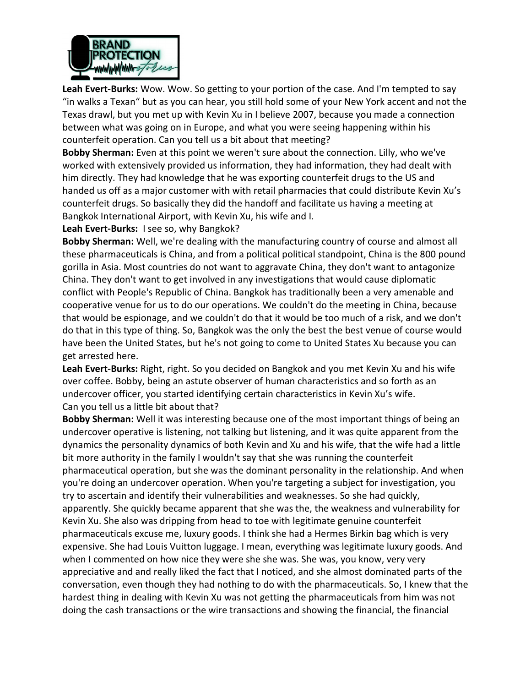

**Leah Evert-Burks:** Wow. Wow. So getting to your portion of the case. And I'm tempted to say "in walks a Texan" but as you can hear, you still hold some of your New York accent and not the Texas drawl, but you met up with Kevin Xu in I believe 2007, because you made a connection between what was going on in Europe, and what you were seeing happening within his counterfeit operation. Can you tell us a bit about that meeting?

**Bobby Sherman:** Even at this point we weren't sure about the connection. Lilly, who we've worked with extensively provided us information, they had information, they had dealt with him directly. They had knowledge that he was exporting counterfeit drugs to the US and handed us off as a major customer with with retail pharmacies that could distribute Kevin Xu's counterfeit drugs. So basically they did the handoff and facilitate us having a meeting at Bangkok International Airport, with Kevin Xu, his wife and I.

**Leah Evert-Burks:** I see so, why Bangkok?

**Bobby Sherman:** Well, we're dealing with the manufacturing country of course and almost all these pharmaceuticals is China, and from a political political standpoint, China is the 800 pound gorilla in Asia. Most countries do not want to aggravate China, they don't want to antagonize China. They don't want to get involved in any investigations that would cause diplomatic conflict with People's Republic of China. Bangkok has traditionally been a very amenable and cooperative venue for us to do our operations. We couldn't do the meeting in China, because that would be espionage, and we couldn't do that it would be too much of a risk, and we don't do that in this type of thing. So, Bangkok was the only the best the best venue of course would have been the United States, but he's not going to come to United States Xu because you can get arrested here.

**Leah Evert-Burks:** Right, right. So you decided on Bangkok and you met Kevin Xu and his wife over coffee. Bobby, being an astute observer of human characteristics and so forth as an undercover officer, you started identifying certain characteristics in Kevin Xu's wife. Can you tell us a little bit about that?

**Bobby Sherman:** Well it was interesting because one of the most important things of being an undercover operative is listening, not talking but listening, and it was quite apparent from the dynamics the personality dynamics of both Kevin and Xu and his wife, that the wife had a little bit more authority in the family I wouldn't say that she was running the counterfeit pharmaceutical operation, but she was the dominant personality in the relationship. And when you're doing an undercover operation. When you're targeting a subject for investigation, you try to ascertain and identify their vulnerabilities and weaknesses. So she had quickly, apparently. She quickly became apparent that she was the, the weakness and vulnerability for Kevin Xu. She also was dripping from head to toe with legitimate genuine counterfeit pharmaceuticals excuse me, luxury goods. I think she had a Hermes Birkin bag which is very expensive. She had Louis Vuitton luggage. I mean, everything was legitimate luxury goods. And when I commented on how nice they were she she was. She was, you know, very very appreciative and and really liked the fact that I noticed, and she almost dominated parts of the conversation, even though they had nothing to do with the pharmaceuticals. So, I knew that the hardest thing in dealing with Kevin Xu was not getting the pharmaceuticals from him was not doing the cash transactions or the wire transactions and showing the financial, the financial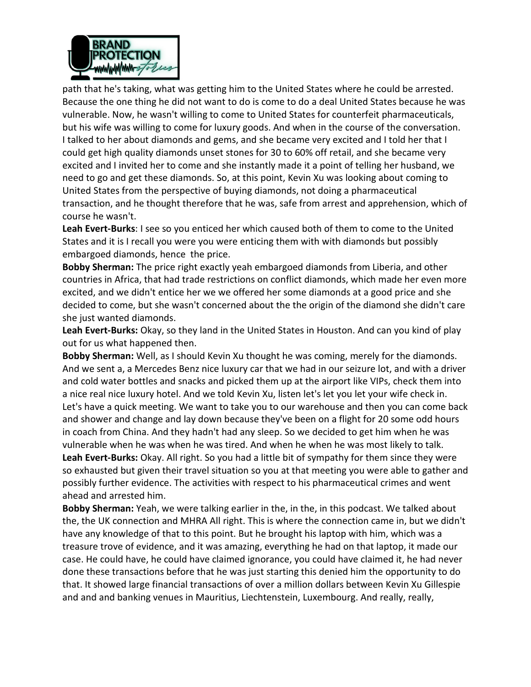

path that he's taking, what was getting him to the United States where he could be arrested. Because the one thing he did not want to do is come to do a deal United States because he was vulnerable. Now, he wasn't willing to come to United States for counterfeit pharmaceuticals, but his wife was willing to come for luxury goods. And when in the course of the conversation. I talked to her about diamonds and gems, and she became very excited and I told her that I could get high quality diamonds unset stones for 30 to 60% off retail, and she became very excited and I invited her to come and she instantly made it a point of telling her husband, we need to go and get these diamonds. So, at this point, Kevin Xu was looking about coming to United States from the perspective of buying diamonds, not doing a pharmaceutical transaction, and he thought therefore that he was, safe from arrest and apprehension, which of course he wasn't.

**Leah Evert-Burks**: I see so you enticed her which caused both of them to come to the United States and it is I recall you were you were enticing them with with diamonds but possibly embargoed diamonds, hence the price.

**Bobby Sherman:** The price right exactly yeah embargoed diamonds from Liberia, and other countries in Africa, that had trade restrictions on conflict diamonds, which made her even more excited, and we didn't entice her we we offered her some diamonds at a good price and she decided to come, but she wasn't concerned about the the origin of the diamond she didn't care she just wanted diamonds.

**Leah Evert-Burks:** Okay, so they land in the United States in Houston. And can you kind of play out for us what happened then.

**Bobby Sherman:** Well, as I should Kevin Xu thought he was coming, merely for the diamonds. And we sent a, a Mercedes Benz nice luxury car that we had in our seizure lot, and with a driver and cold water bottles and snacks and picked them up at the airport like VIPs, check them into a nice real nice luxury hotel. And we told Kevin Xu, listen let's let you let your wife check in. Let's have a quick meeting. We want to take you to our warehouse and then you can come back and shower and change and lay down because they've been on a flight for 20 some odd hours in coach from China. And they hadn't had any sleep. So we decided to get him when he was vulnerable when he was when he was tired. And when he when he was most likely to talk. **Leah Evert-Burks:** Okay. All right. So you had a little bit of sympathy for them since they were so exhausted but given their travel situation so you at that meeting you were able to gather and possibly further evidence. The activities with respect to his pharmaceutical crimes and went ahead and arrested him.

**Bobby Sherman:** Yeah, we were talking earlier in the, in the, in this podcast. We talked about the, the UK connection and MHRA All right. This is where the connection came in, but we didn't have any knowledge of that to this point. But he brought his laptop with him, which was a treasure trove of evidence, and it was amazing, everything he had on that laptop, it made our case. He could have, he could have claimed ignorance, you could have claimed it, he had never done these transactions before that he was just starting this denied him the opportunity to do that. It showed large financial transactions of over a million dollars between Kevin Xu Gillespie and and and banking venues in Mauritius, Liechtenstein, Luxembourg. And really, really,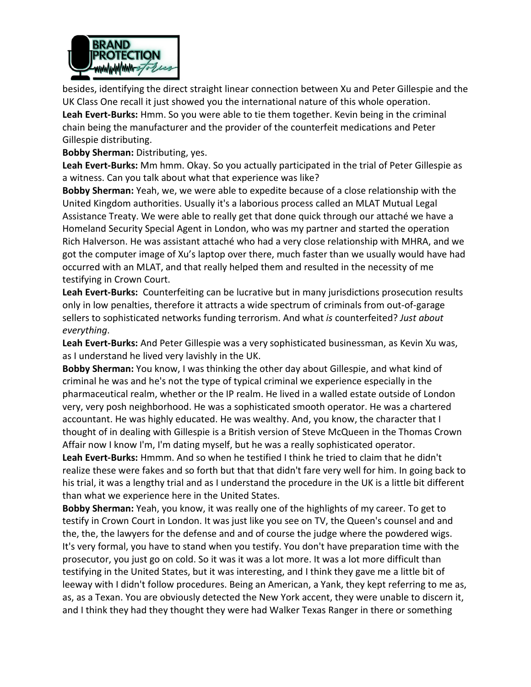

besides, identifying the direct straight linear connection between Xu and Peter Gillespie and the UK Class One recall it just showed you the international nature of this whole operation. **Leah Evert-Burks:** Hmm. So you were able to tie them together. Kevin being in the criminal chain being the manufacturer and the provider of the counterfeit medications and Peter Gillespie distributing.

**Bobby Sherman:** Distributing, yes.

**Leah Evert-Burks:** Mm hmm. Okay. So you actually participated in the trial of Peter Gillespie as a witness. Can you talk about what that experience was like?

**Bobby Sherman:** Yeah, we, we were able to expedite because of a close relationship with the United Kingdom authorities. Usually it's a laborious process called an MLAT Mutual Legal Assistance Treaty. We were able to really get that done quick through our attaché we have a Homeland Security Special Agent in London, who was my partner and started the operation Rich Halverson. He was assistant attaché who had a very close relationship with MHRA, and we got the computer image of Xu's laptop over there, much faster than we usually would have had occurred with an MLAT, and that really helped them and resulted in the necessity of me testifying in Crown Court.

**Leah Evert-Burks:** Counterfeiting can be lucrative but in many jurisdictions prosecution results only in low penalties, therefore it attracts a wide spectrum of criminals from out-of-garage sellers to sophisticated networks funding terrorism. And what *is* counterfeited? *Just about everything*.

**Leah Evert-Burks:** And Peter Gillespie was a very sophisticated businessman, as Kevin Xu was, as I understand he lived very lavishly in the UK.

**Bobby Sherman:** You know, I was thinking the other day about Gillespie, and what kind of criminal he was and he's not the type of typical criminal we experience especially in the pharmaceutical realm, whether or the IP realm. He lived in a walled estate outside of London very, very posh neighborhood. He was a sophisticated smooth operator. He was a chartered accountant. He was highly educated. He was wealthy. And, you know, the character that I thought of in dealing with Gillespie is a British version of Steve McQueen in the Thomas Crown Affair now I know I'm, I'm dating myself, but he was a really sophisticated operator.

**Leah Evert-Burks:** Hmmm. And so when he testified I think he tried to claim that he didn't realize these were fakes and so forth but that that didn't fare very well for him. In going back to his trial, it was a lengthy trial and as I understand the procedure in the UK is a little bit different than what we experience here in the United States.

**Bobby Sherman:** Yeah, you know, it was really one of the highlights of my career. To get to testify in Crown Court in London. It was just like you see on TV, the Queen's counsel and and the, the, the lawyers for the defense and and of course the judge where the powdered wigs. It's very formal, you have to stand when you testify. You don't have preparation time with the prosecutor, you just go on cold. So it was it was a lot more. It was a lot more difficult than testifying in the United States, but it was interesting, and I think they gave me a little bit of leeway with I didn't follow procedures. Being an American, a Yank, they kept referring to me as, as, as a Texan. You are obviously detected the New York accent, they were unable to discern it, and I think they had they thought they were had Walker Texas Ranger in there or something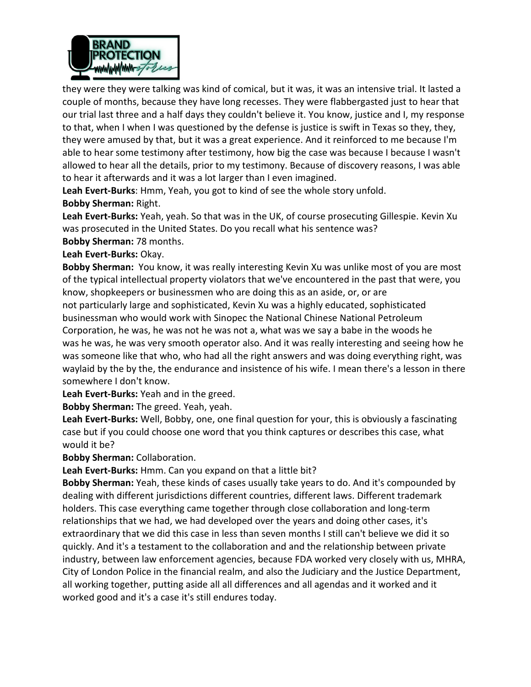

they were they were talking was kind of comical, but it was, it was an intensive trial. It lasted a couple of months, because they have long recesses. They were flabbergasted just to hear that our trial last three and a half days they couldn't believe it. You know, justice and I, my response to that, when I when I was questioned by the defense is justice is swift in Texas so they, they, they were amused by that, but it was a great experience. And it reinforced to me because I'm able to hear some testimony after testimony, how big the case was because I because I wasn't allowed to hear all the details, prior to my testimony. Because of discovery reasons, I was able to hear it afterwards and it was a lot larger than I even imagined.

**Leah Evert-Burks**: Hmm, Yeah, you got to kind of see the whole story unfold. **Bobby Sherman:** Right.

**Leah Evert-Burks:** Yeah, yeah. So that was in the UK, of course prosecuting Gillespie. Kevin Xu was prosecuted in the United States. Do you recall what his sentence was?

**Bobby Sherman:** 78 months.

## **Leah Evert-Burks:** Okay.

**Bobby Sherman:** You know, it was really interesting Kevin Xu was unlike most of you are most of the typical intellectual property violators that we've encountered in the past that were, you know, shopkeepers or businessmen who are doing this as an aside, or, or are not particularly large and sophisticated, Kevin Xu was a highly educated, sophisticated businessman who would work with Sinopec the National Chinese National Petroleum Corporation, he was, he was not he was not a, what was we say a babe in the woods he was he was, he was very smooth operator also. And it was really interesting and seeing how he was someone like that who, who had all the right answers and was doing everything right, was waylaid by the by the, the endurance and insistence of his wife. I mean there's a lesson in there somewhere I don't know.

**Leah Evert-Burks:** Yeah and in the greed.

**Bobby Sherman:** The greed. Yeah, yeah.

**Leah Evert-Burks:** Well, Bobby, one, one final question for your, this is obviously a fascinating case but if you could choose one word that you think captures or describes this case, what would it be?

**Bobby Sherman:** Collaboration.

**Leah Evert-Burks:** Hmm. Can you expand on that a little bit?

**Bobby Sherman:** Yeah, these kinds of cases usually take years to do. And it's compounded by dealing with different jurisdictions different countries, different laws. Different trademark holders. This case everything came together through close collaboration and long-term relationships that we had, we had developed over the years and doing other cases, it's extraordinary that we did this case in less than seven months I still can't believe we did it so quickly. And it's a testament to the collaboration and and the relationship between private industry, between law enforcement agencies, because FDA worked very closely with us, MHRA, City of London Police in the financial realm, and also the Judiciary and the Justice Department, all working together, putting aside all all differences and all agendas and it worked and it worked good and it's a case it's still endures today.